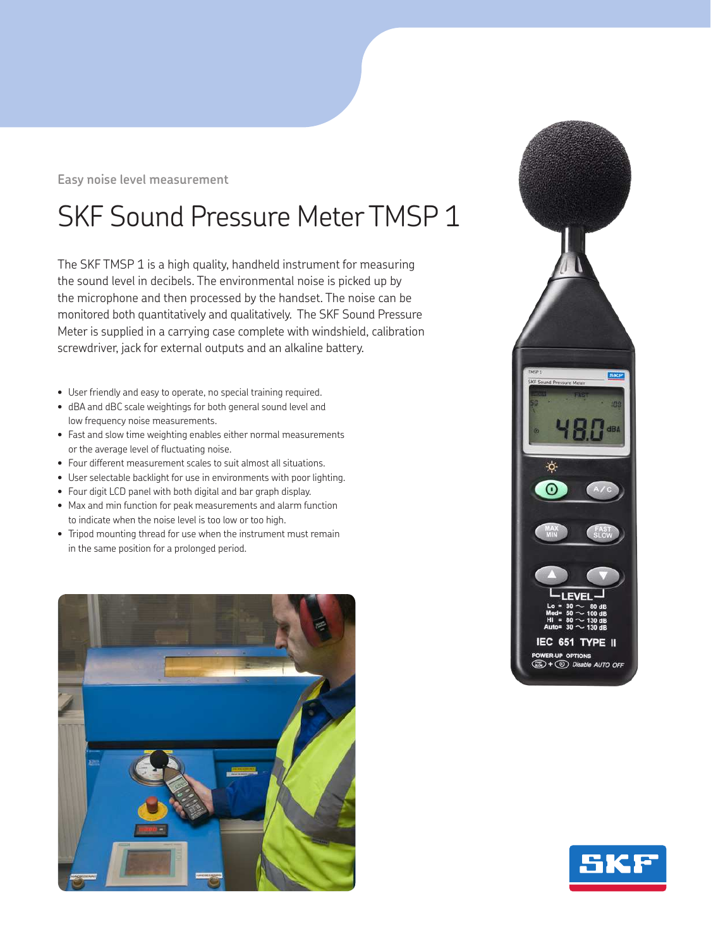**Easy noise level measurement**

## SKF Sound Pressure Meter TMSP 1

The SKF TMSP 1 is a high quality, handheld instrument for measuring the sound level in decibels. The environmental noise is picked up by the microphone and then processed by the handset. The noise can be monitored both quantitatively and qualitatively. The SKF Sound Pressure Meter is supplied in a carrying case complete with windshield, calibration screwdriver, jack for external outputs and an alkaline battery.

- User friendly and easy to operate, no special training required.
- dBA and dBC scale weightings for both general sound level and low frequency noise measurements.
- Fast and slow time weighting enables either normal measurements or the average level of fluctuating noise.
- Four different measurement scales to suit almost all situations.
- User selectable backlight for use in environments with poor lighting.
- Four digit LCD panel with both digital and bar graph display.
- Max and min function for peak measurements and alarm function to indicate when the noise level is too low or too high.
- Tripod mounting thread for use when the instrument must remain in the same position for a prolonged period.